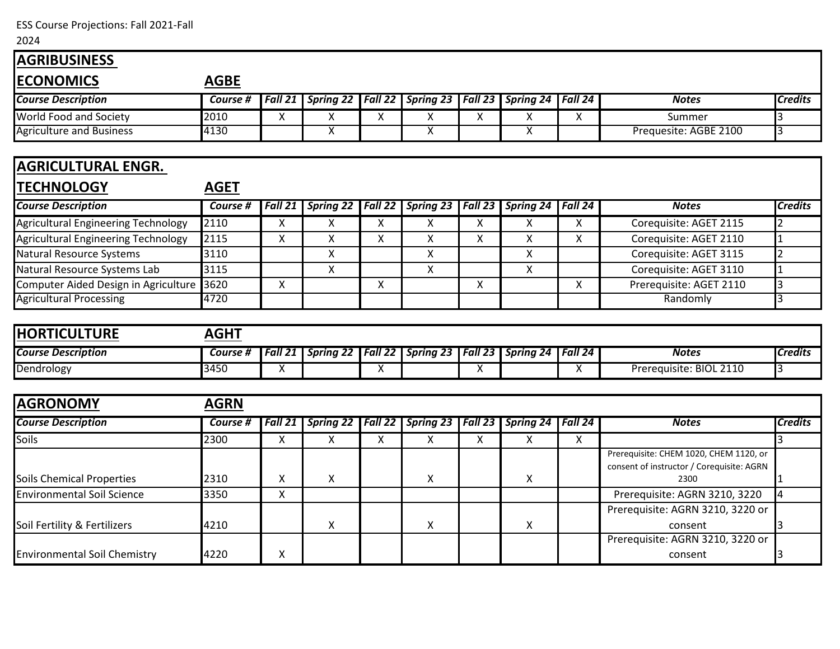ESS Course Projections: Fall 2021-Fall

## 2024

| <b>AGRIBUSINESS</b>                        |             |                         |                         |                           |                         |              |                  |                |                                             |                |
|--------------------------------------------|-------------|-------------------------|-------------------------|---------------------------|-------------------------|--------------|------------------|----------------|---------------------------------------------|----------------|
| <b>ECONOMICS</b>                           | <b>AGBE</b> |                         |                         |                           |                         |              |                  |                |                                             |                |
| <b>Course Description</b>                  | Course #    | Fall 21                 | <b>Spring 22</b>        | Fall 22                   | <b>Spring 23</b>        | Fall 23      | <b>Spring 24</b> | Fall 24        | <b>Notes</b>                                | <b>Credits</b> |
| World Food and Society                     | 2010        | $\mathsf{X}$            | Χ                       | X                         | X                       | X            | X                | X              | Summer                                      | 3              |
| <b>Agriculture and Business</b>            | 4130        |                         | $\overline{\mathsf{x}}$ |                           | $\overline{\mathsf{x}}$ |              | X                |                | Prequesite: AGBE 2100                       | $\overline{3}$ |
|                                            |             |                         |                         |                           |                         |              |                  |                |                                             |                |
| <b>AGRICULTURAL ENGR.</b>                  |             |                         |                         |                           |                         |              |                  |                |                                             |                |
| <b>TECHNOLOGY</b>                          | <b>AGET</b> |                         |                         |                           |                         |              |                  |                |                                             |                |
| <b>Course Description</b>                  | Course #    | Fall 21                 | <b>Spring 22</b>        | Fall 22                   | <b>Spring 23</b>        | Fall 23      | <b>Spring 24</b> | Fall 24        | <b>Notes</b>                                | <b>Credits</b> |
| <b>Agricultural Engineering Technology</b> | 2110        | $\mathsf{X}$            | X                       | $\boldsymbol{\mathsf{X}}$ | X                       | X            | X                | X              | Corequisite: AGET 2115                      | $\overline{2}$ |
| Agricultural Engineering Technology        | 2115        | X                       | Χ                       | X                         | X                       | $\mathsf{X}$ | X                | $\pmb{\times}$ | Corequisite: AGET 2110                      | $\mathbf{1}$   |
| <b>Natural Resource Systems</b>            | 3110        |                         | X                       |                           | X                       |              | X                |                | Corequisite: AGET 3115                      | $\overline{2}$ |
| Natural Resource Systems Lab               | 3115        |                         | X                       |                           | X                       |              | $\sf X$          |                | Corequisite: AGET 3110                      | 1              |
| Computer Aided Design in Agriculture       | 3620        | X                       |                         | $\boldsymbol{\mathsf{X}}$ |                         | X            |                  | X              | Prerequisite: AGET 2110                     | 3              |
| <b>Agricultural Processing</b>             | 4720        |                         |                         |                           |                         |              |                  |                | Randomly                                    | 3              |
|                                            |             |                         |                         |                           |                         |              |                  |                |                                             |                |
| <b>HORTICULTURE</b>                        | <b>AGHT</b> |                         |                         |                           |                         |              |                  |                |                                             |                |
| <b>Course Description</b>                  | Course #    | Fall 21                 | <b>Spring 22</b>        | Fall 22                   | <b>Spring 23</b>        | Fall 23      | <b>Spring 24</b> | Fall 24        | <b>Notes</b>                                | <b>Credits</b> |
| Dendrology                                 | 3450        | $\overline{\mathsf{x}}$ |                         | X                         |                         | X            |                  | X              | Prerequisite: BIOL 2110                     | 3              |
|                                            |             |                         |                         |                           |                         |              |                  |                |                                             |                |
| <b>AGRONOMY</b>                            |             |                         |                         |                           |                         |              |                  |                |                                             |                |
|                                            | <b>AGRN</b> |                         |                         |                           |                         |              |                  |                |                                             |                |
| <b>Course Description</b>                  | Course #    | Fall 21                 | <b>Spring 22</b>        | Fall 22                   | <b>Spring 23</b>        | Fall 23      | <b>Spring 24</b> | Fall 24        | <b>Notes</b>                                | <b>Credits</b> |
| Soils                                      | 2300        | X                       | X                       | X                         | X                       | X            | X                | X              |                                             | 3              |
|                                            |             |                         |                         |                           |                         |              |                  |                | Prerequisite: CHEM 1020, CHEM 1120, or      |                |
|                                            |             |                         |                         |                           |                         |              |                  |                | consent of instructor / Corequisite: AGRN   |                |
| <b>Soils Chemical Properties</b>           | 2310        | Χ                       | $\pmb{\mathsf{X}}$      |                           | Χ                       |              | Χ                |                | 2300                                        |                |
| <b>Environmental Soil Science</b>          | 3350        | X                       |                         |                           |                         |              |                  |                | Prerequisite: AGRN 3210, 3220               | 4              |
|                                            |             |                         |                         |                           |                         |              |                  |                | Prerequisite: AGRN 3210, 3220 or            |                |
| Soil Fertility & Fertilizers               | 4210        |                         | X                       |                           | X                       |              | Χ                |                | consent<br>Prerequisite: AGRN 3210, 3220 or |                |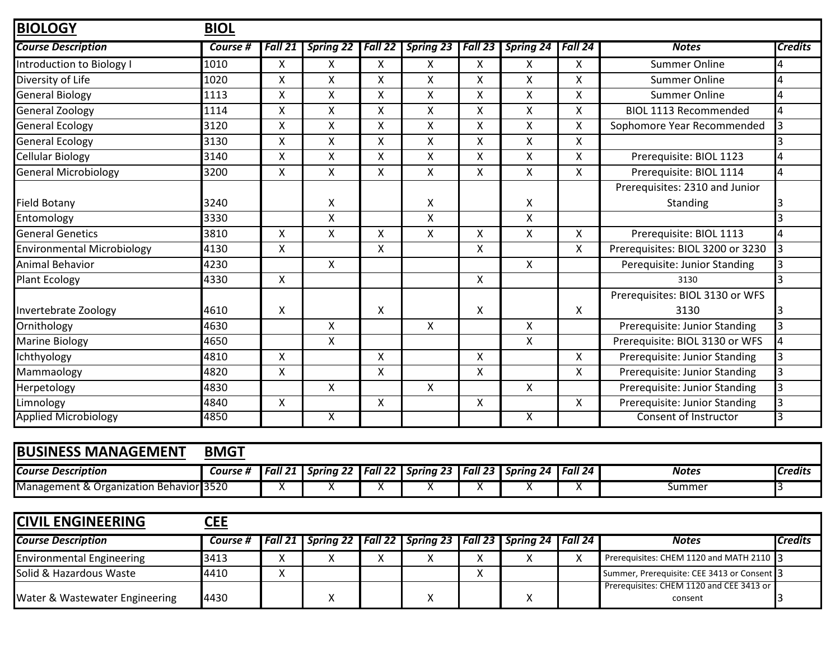| <b>BIOLOGY</b>                          | <b>BIOL</b> |                           |                           |         |                    |                           |                  |                    |                                                     |                |
|-----------------------------------------|-------------|---------------------------|---------------------------|---------|--------------------|---------------------------|------------------|--------------------|-----------------------------------------------------|----------------|
| <b>Course Description</b>               | Course #    | Fall 21                   | <b>Spring 22</b>          | Fall 22 | <b>Spring 23</b>   | Fall 23                   | Spring 24        | Fall 24            | <b>Notes</b>                                        | <b>Credits</b> |
| Introduction to Biology I               | 1010        | X                         | X                         | X       | X                  | X                         | X                | X                  | <b>Summer Online</b>                                | 4              |
| Diversity of Life                       | 1020        | Χ                         | Χ                         | Χ       | Χ                  | X                         | X                | Χ                  | <b>Summer Online</b>                                | 4              |
| General Biology                         | 1113        | X                         | X                         | X       | X                  | X                         | X                | X                  | <b>Summer Online</b>                                | 4              |
| <b>General Zoology</b>                  | 1114        | X                         | $\pmb{\mathsf{X}}$        | X       | $\pmb{\mathsf{X}}$ | $\boldsymbol{\mathsf{X}}$ | X                | Χ                  | <b>BIOL 1113 Recommended</b>                        | 4              |
| <b>General Ecology</b>                  | 3120        | X                         | $\pmb{\mathsf{X}}$        | X       | $\pmb{\mathsf{X}}$ | X                         | X                | Χ                  | Sophomore Year Recommended                          | 3              |
| General Ecology                         | 3130        | $\mathsf{x}$              | X                         | X       | Χ                  | $\boldsymbol{\mathsf{X}}$ | X                | Χ                  |                                                     | 3              |
| Cellular Biology                        | 3140        | X                         | $\pmb{\mathsf{X}}$        | Χ       | $\pmb{\mathsf{X}}$ | X                         | Χ                | Χ                  | Prerequisite: BIOL 1123                             | 4              |
| <b>General Microbiology</b>             | 3200        | X                         | $\mathsf{x}$              | Χ       | $\pmb{\mathsf{X}}$ | $\pmb{\times}$            | X                | X                  | Prerequisite: BIOL 1114                             | 4              |
|                                         |             |                           |                           |         |                    |                           |                  |                    | Prerequisites: 2310 and Junior                      |                |
| <b>Field Botany</b>                     | 3240        |                           | X                         |         | Χ                  |                           | X                |                    | Standing                                            | 13             |
| Entomology                              | 3330        |                           | $\mathsf{\chi}$           |         | $\pmb{\mathsf{X}}$ |                           | X                |                    |                                                     | 3              |
| <b>General Genetics</b>                 | 3810        | X                         | $\pmb{\mathsf{X}}$        | Χ       | X                  | X                         | X                | X                  | Prerequisite: BIOL 1113                             | 4              |
| <b>Environmental Microbiology</b>       | 4130        | $\boldsymbol{\mathsf{X}}$ |                           | Χ       |                    | $\boldsymbol{\mathsf{X}}$ |                  | X                  | Prerequisites: BIOL 3200 or 3230                    | 3              |
| Animal Behavior                         | 4230        |                           | $\mathsf{X}$              |         |                    |                           | $\mathsf{X}$     |                    | Perequisite: Junior Standing                        |                |
| <b>Plant Ecology</b>                    | 4330        | X                         |                           |         |                    | X                         |                  |                    | 3130                                                | 3              |
|                                         |             |                           |                           |         |                    |                           |                  |                    | Prerequisites: BIOL 3130 or WFS                     |                |
| Invertebrate Zoology                    | 4610        | X                         |                           | X       |                    | X                         |                  | X                  | 3130                                                |                |
| Ornithology                             | 4630        |                           | $\boldsymbol{\mathsf{X}}$ |         | $\mathsf{x}$       |                           | $\mathsf{X}$     |                    | Prerequisite: Junior Standing                       | 3              |
| Marine Biology                          | 4650        |                           | Χ                         |         |                    |                           | X                |                    | Prerequisite: BIOL 3130 or WFS                      | 4              |
| Ichthyology                             | 4810        | $\mathsf{X}$              |                           | X       |                    | $\boldsymbol{\mathsf{X}}$ |                  | Χ                  | Prerequisite: Junior Standing                       | 3              |
| Mammaology                              | 4820        | X                         |                           | Χ       |                    | X                         |                  | X                  | Prerequisite: Junior Standing                       | 3              |
| Herpetology                             | 4830        |                           | $\mathsf{X}$              |         | X                  |                           | $\mathsf{X}$     |                    | Prerequisite: Junior Standing                       | 3              |
| Limnology                               | 4840        | $\pmb{\times}$            |                           | X       |                    | X                         |                  | $\pmb{\mathsf{X}}$ | Prerequisite: Junior Standing                       | 3              |
| <b>Applied Microbiology</b>             | 4850        |                           | $\mathsf{X}$              |         |                    |                           | $\mathsf{X}$     |                    | Consent of Instructor                               | 3              |
|                                         |             |                           |                           |         |                    |                           |                  |                    |                                                     |                |
| <b>BUSINESS MANAGEMENT</b>              | <b>BMGT</b> |                           |                           |         |                    |                           |                  |                    |                                                     |                |
| <b>Course Description</b>               | Course #    | Fall 21                   | <b>Spring 22</b>          | Fall 22 | <b>Spring 23</b>   | Fall 23                   | <b>Spring 24</b> | Fall 24            | <b>Notes</b>                                        | <b>Credits</b> |
| Management & Organization Behavior 3520 |             | X                         | х                         | X       | х                  | х                         | х                | х                  | <b>Summer</b>                                       | I3.            |
|                                         |             |                           |                           |         |                    |                           |                  |                    |                                                     |                |
| <b>CIVIL ENGINEERING</b>                | <b>CEE</b>  |                           |                           |         |                    |                           |                  |                    |                                                     |                |
| <b>Course Description</b>               | Course #    | Fall 21                   | <b>Spring 22</b>          | Fall 22 | <b>Spring 23</b>   | Fall 23                   | <b>Spring 24</b> | Fall 24            | <b>Notes</b>                                        | <b>Credits</b> |
| <b>Environmental Engineering</b>        | 3413        | X                         | X                         | X       | X                  | X                         | X                | X                  | Prerequisites: CHEM 1120 and MATH 2110 3            |                |
| Solid & Hazardous Waste                 | 4410        | X                         |                           |         |                    | X                         |                  |                    | Summer, Prerequisite: CEE 3413 or Consent 3         |                |
| Water & Wastewater Engineering          | 4430        |                           | Χ                         |         | X                  |                           | X                |                    | Prerequisites: CHEM 1120 and CEE 3413 or<br>consent | 3              |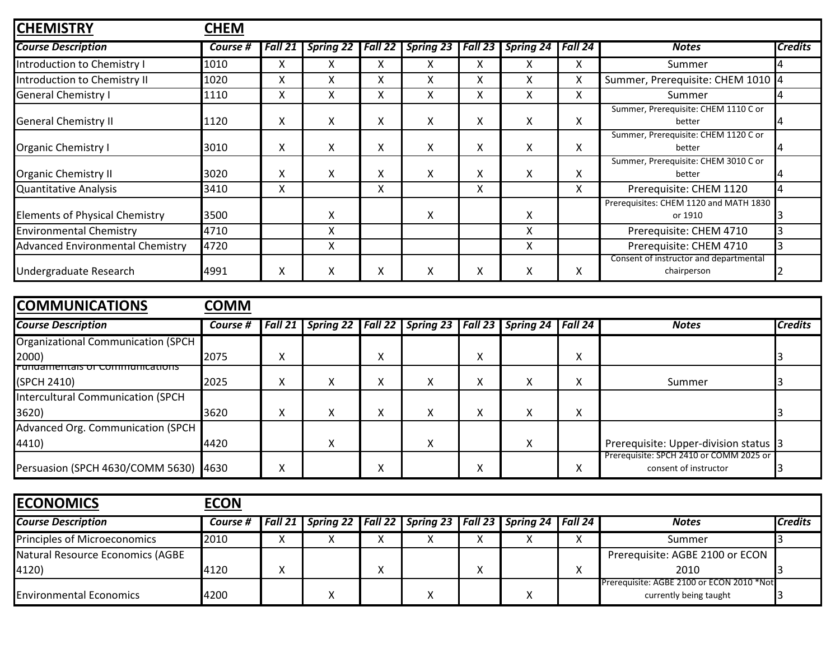| <b>CHEMISTRY</b>                        | <b>CHEM</b> |         |                  |         |                  |         |           |         |                                                       |                |
|-----------------------------------------|-------------|---------|------------------|---------|------------------|---------|-----------|---------|-------------------------------------------------------|----------------|
| <b>Course Description</b>               | Course #    | Fall 21 | <b>Spring 22</b> | Fall 22 | <b>Spring 23</b> | Fall 23 | Spring 24 | Fall 24 | <b>Notes</b>                                          | <b>Credits</b> |
| Introduction to Chemistry I             | 1010        | x       | X                | x       | x                | X       | x         | x       | Summer                                                |                |
| Introduction to Chemistry II            | 1020        | x       | Χ                | Χ       | X                | X       | X         | Χ       | Summer, Prerequisite: CHEM 1010 4                     |                |
| <b>General Chemistry I</b>              | 1110        | X       | X                | Χ       | X                | X       | X         | Χ       | Summer                                                |                |
| <b>General Chemistry II</b>             | 1120        | X       | X                | Χ       | X                | X       | X         | Χ       | Summer, Prerequisite: CHEM 1110 C or<br>better        |                |
| Organic Chemistry I                     | 3010        | X       | X                | X       | X                | X       | X         | X       | Summer, Prerequisite: CHEM 1120 C or<br>better        |                |
| <b>Organic Chemistry II</b>             | 3020        | X       | X                | X       | X                | X       | x         | X       | Summer, Prerequisite: CHEM 3010 C or<br>better        |                |
| Quantitative Analysis                   | 3410        | X       |                  | Χ       |                  | X       |           | X       | Prerequisite: CHEM 1120                               | 4              |
| <b>Elements of Physical Chemistry</b>   | 3500        |         | X                |         | X                |         | X         |         | Prerequisites: CHEM 1120 and MATH 1830<br>or 1910     |                |
| <b>Environmental Chemistry</b>          | 4710        |         | X                |         |                  |         | X         |         | Prerequisite: CHEM 4710                               |                |
| <b>Advanced Environmental Chemistry</b> | 4720        |         | X                |         |                  |         | X         |         | Prerequisite: CHEM 4710                               |                |
| Undergraduate Research                  | 4991        | X.      | X                | ⋏       | X                | $\sim$  | X         | X       | Consent of instructor and departmental<br>chairperson |                |

| <b>COMMUNICATIONS</b>                     | <b>COMM</b> |         |   |        |                                                                 |                |   |                   |                                                                  |                |
|-------------------------------------------|-------------|---------|---|--------|-----------------------------------------------------------------|----------------|---|-------------------|------------------------------------------------------------------|----------------|
| <b>Course Description</b>                 | Course #    | Fall 21 |   |        | Spring 22   Fall 22   Spring 23   Fall 23   Spring 24   Fall 24 |                |   |                   | <b>Notes</b>                                                     | <b>Credits</b> |
| <b>Organizational Communication (SPCH</b> |             |         |   |        |                                                                 |                |   |                   |                                                                  |                |
| 2000)                                     | 2075        | x       |   | ∧      |                                                                 | $\lambda$<br>∧ |   | ⋏                 |                                                                  |                |
| <b>Fundamentals of Communications</b>     |             |         |   |        |                                                                 |                |   |                   |                                                                  |                |
| (SPCH 2410)                               | 2025        | X       | v | ∧      | X                                                               | $\sim$         | X | л                 | Summer                                                           |                |
| Intercultural Communication (SPCH         |             |         |   |        |                                                                 |                |   |                   |                                                                  |                |
| 3620)                                     | 3620        | x       | A | v<br>∧ | Χ                                                               | ∧              | X | $\checkmark$<br>⋏ |                                                                  |                |
| Advanced Org. Communication (SPCH         |             |         |   |        |                                                                 |                |   |                   |                                                                  |                |
| 4410)                                     | 4420        |         | v |        | X                                                               |                | X |                   | Prerequisite: Upper-division status 3                            |                |
| Persuasion (SPCH 4630/COMM 5630)          | 4630        | x       |   | Λ      |                                                                 |                |   |                   | Prerequisite: SPCH 2410 or COMM 2025 or<br>consent of instructor |                |

| <b>ECONOMICS</b>                    | <b>ECON</b> |                                                                           |  |  |           |                                           |                |
|-------------------------------------|-------------|---------------------------------------------------------------------------|--|--|-----------|-------------------------------------------|----------------|
| <b>Course Description</b>           | Course #    | Fall 21   Spring 22   Fall 22   Spring 23   Fall 23   Spring 24   Fall 24 |  |  |           | <b>Notes</b>                              | <b>Credits</b> |
| <b>Principles of Microeconomics</b> | 2010        |                                                                           |  |  | $\lambda$ | Summer                                    |                |
| Natural Resource Economics (AGBE    |             |                                                                           |  |  |           | Prerequisite: AGBE 2100 or ECON           |                |
| 4120)                               | 4120        |                                                                           |  |  | $\lambda$ | 2010                                      |                |
|                                     |             |                                                                           |  |  |           | Prerequisite: AGBE 2100 or ECON 2010 *Not |                |
| <b>Environmental Economics</b>      | 4200        |                                                                           |  |  |           | currently being taught                    |                |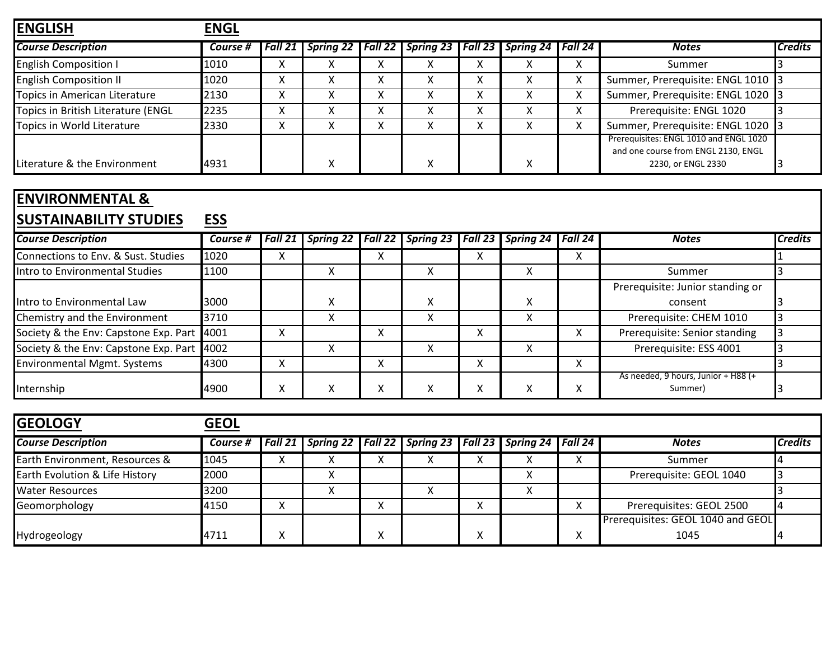| <b>ENGLISH</b>                     | <b>ENGL</b> |                        |                                                     |   |                  |                           |           |                                                                                                     |                |
|------------------------------------|-------------|------------------------|-----------------------------------------------------|---|------------------|---------------------------|-----------|-----------------------------------------------------------------------------------------------------|----------------|
| <b>Course Description</b>          | Course #    |                        | Fall 21   Spring 22   Fall 22   Spring 23   Fall 23 |   |                  | <b>Spring 24</b>          | l Fall 24 | <b>Notes</b>                                                                                        | <b>Credits</b> |
| <b>English Composition I</b>       | 1010        | $\sim$                 |                                                     |   | $\lambda$        | $\lambda$                 | $\sim$    | Summer                                                                                              |                |
| <b>English Composition II</b>      | 1020        |                        |                                                     |   | $\lambda$        |                           | ^         | Summer, Prerequisite: ENGL 1010 3                                                                   |                |
| Topics in American Literature      | 2130        | v                      |                                                     |   | $\lambda$        |                           | ∧         | Summer, Prerequisite: ENGL 1020                                                                     |                |
| Topics in British Literature (ENGL | 2235        |                        |                                                     |   | Λ                | ⌒                         | ^         | Prerequisite: ENGL 1020                                                                             |                |
| Topics in World Literature         | 2330        | $\checkmark$<br>$\sim$ |                                                     | Λ | $\check{ }$<br>∧ |                           | Χ         | Summer, Prerequisite: ENGL 1020                                                                     |                |
| Literature & the Environment       | 4931        |                        |                                                     |   | $\checkmark$     | $\boldsymbol{\mathsf{v}}$ |           | Prerequisites: ENGL 1010 and ENGL 1020<br>and one course from ENGL 2130, ENGL<br>2230, or ENGL 2330 |                |

## **ENVIRONMENTAL & SUSTAINABILITY STUDIES ESS**

| 1999 1711 1712 161 1 1 9 1 0 1 1 1 9  | ◡◡       |         |                     |        |   |   |                                 |         |                                                |                |
|---------------------------------------|----------|---------|---------------------|--------|---|---|---------------------------------|---------|------------------------------------------------|----------------|
| <b>Course Description</b>             | Course # | Fall 21 | Spring 22   Fall 22 |        |   |   | Spring 23   Fall 23   Spring 24 | Fall 24 | <b>Notes</b>                                   | <b>Credits</b> |
| Connections to Env. & Sust. Studies   | 1020     |         |                     | Λ      |   | Λ |                                 | ∧       |                                                |                |
| Intro to Environmental Studies        | 1100     |         |                     |        |   |   |                                 |         | Summer                                         |                |
|                                       |          |         |                     |        |   |   |                                 |         | Prerequisite: Junior standing or               |                |
| Intro to Environmental Law            | 3000     |         | $\lambda$           |        | v |   | x                               |         | consent                                        |                |
| Chemistry and the Environment         | 3710     |         |                     |        |   |   |                                 |         | Prerequisite: CHEM 1010                        |                |
| Society & the Env: Capstone Exp. Part | 4001     |         |                     |        |   |   |                                 | ⋏       | Prerequisite: Senior standing                  |                |
| Society & the Env: Capstone Exp. Part | 4002     |         |                     |        |   |   |                                 |         | Prerequisite: ESS 4001                         |                |
| <b>Environmental Mgmt. Systems</b>    | 4300     |         |                     | v<br>́ |   | ∧ |                                 | ⋏       |                                                |                |
| Internship                            | 4900     |         |                     | Λ      |   |   |                                 | ∧       | As needed, 9 hours, Junior + H88 (+<br>Summer) |                |

| <b>GEOLOGY</b>                 | <b>GEOL</b> |                                                                           |           |           |        |                                   |                |
|--------------------------------|-------------|---------------------------------------------------------------------------|-----------|-----------|--------|-----------------------------------|----------------|
| <b>Course Description</b>      | Course #    | Fall 21   Spring 22   Fall 22   Spring 23   Fall 23   Spring 24   Fall 24 |           |           |        | <b>Notes</b>                      | <b>Credits</b> |
| Earth Environment, Resources & | 1045        |                                                                           | $\lambda$ | $\lambda$ | $\sim$ | Summer                            |                |
| Earth Evolution & Life History | 2000        |                                                                           |           |           |        | Prerequisite: GEOL 1040           |                |
| <b>Water Resources</b>         | 3200        |                                                                           | $\lambda$ |           |        |                                   |                |
| Geomorphology                  | 4150        |                                                                           |           |           | Λ      | Prerequisites: GEOL 2500          |                |
|                                |             |                                                                           |           |           |        | Prerequisites: GEOL 1040 and GEOL |                |
| Hydrogeology                   | 4711        |                                                                           |           |           |        | 1045                              |                |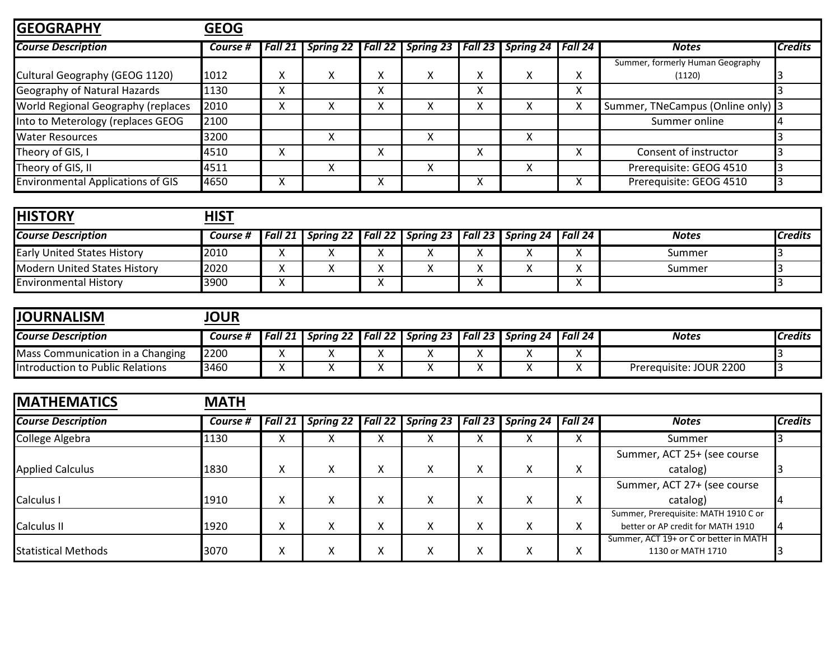| <b>GEOGRAPHY</b>                         | <b>GEOG</b> |           |   |                   |                                           |              |                           |         |                                            |                |
|------------------------------------------|-------------|-----------|---|-------------------|-------------------------------------------|--------------|---------------------------|---------|--------------------------------------------|----------------|
| <b>Course Description</b>                | Course #    | l Fall 21 |   |                   | Spring 22   Fall 22   Spring 23   Fall 23 |              | <b>Spring 24</b>          | Fall 24 | <b>Notes</b>                               | <b>Credits</b> |
| Cultural Geography (GEOG 1120)           | 1012        |           | X | $\Lambda$         | X                                         | $\sim$       | $\checkmark$<br>$\lambda$ | v<br>v  | Summer, formerly Human Geography<br>(1120) |                |
| Geography of Natural Hazards             | 1130        | x         |   | $\cdot$<br>$\sim$ |                                           | $\cdot$<br>v |                           | X       |                                            |                |
| World Regional Geography (replaces       | 2010        | χ         | ∧ |                   | x                                         |              |                           | Χ       | Summer, TNeCampus (Online only) 3          |                |
| Into to Meterology (replaces GEOG        | 2100        |           |   |                   |                                           |              |                           |         | Summer online                              |                |
| <b>Water Resources</b>                   | 3200        |           |   |                   | X                                         |              | $\checkmark$<br>∧         |         |                                            |                |
| Theory of GIS, I                         | 4510        | x         |   | Λ                 |                                           | v            |                           | x       | Consent of instructor                      |                |
| Theory of GIS, II                        | 4511        |           | v |                   | X                                         |              | $\checkmark$<br>$\lambda$ |         | Prerequisite: GEOG 4510                    |                |
| <b>Environmental Applications of GIS</b> | 4650        | x         |   | $\sim$            |                                           |              |                           | x       | Prerequisite: GEOG 4510                    |                |

| <b>HISTORY</b>                     | HIST     |                                                                           |         |  |  |              |                |
|------------------------------------|----------|---------------------------------------------------------------------------|---------|--|--|--------------|----------------|
| <b>Course Description</b>          | Course # | Fall 21   Spring 22   Fall 22   Spring 23   Fall 23   Spring 24   Fall 24 |         |  |  | <b>Notes</b> | <b>Credits</b> |
| <b>Early United States History</b> | 2010     |                                                                           | $\cdot$ |  |  | Summer       |                |
| Modern United States History       | 2020     |                                                                           | $\cdot$ |  |  | Summer       |                |
| <b>Environmental History</b>       | 3900     |                                                                           | $\cdot$ |  |  |              |                |

| <b>JOURNALISM</b>                | <b>IOUR</b> |                  |                                                                 |  |  |           |                         |                |
|----------------------------------|-------------|------------------|-----------------------------------------------------------------|--|--|-----------|-------------------------|----------------|
| <b>Course Description</b>        | Course #    | $Fa\overline{a}$ | Spring 22   Fall 22   Spring 23   Fall 23   Spring 24   Fall 24 |  |  |           | <b>Notes</b>            | <b>Credits</b> |
| Mass Communication in a Changing | 2200        |                  |                                                                 |  |  | Λ         |                         |                |
| Introduction to Public Relations | <b>3460</b> |                  |                                                                 |  |  | $\lambda$ | Prerequisite: JOUR 2200 |                |

| <b>MATHEMATICS</b>         | <b>MATH</b> |         |                     |        |                  |           |                                           |                   |                                                                           |                |
|----------------------------|-------------|---------|---------------------|--------|------------------|-----------|-------------------------------------------|-------------------|---------------------------------------------------------------------------|----------------|
| <b>Course Description</b>  | Course #    | Fall 21 | Spring 22   Fall 22 |        |                  |           | Spring 23   Fall 23   Spring 24   Fall 24 |                   | <b>Notes</b>                                                              | <b>Credits</b> |
| College Algebra            | 1130        |         | ⌒                   | Λ      | Χ                | $\lambda$ | $\mathbf{v}$                              | x                 | Summer                                                                    |                |
|                            |             |         |                     |        |                  |           |                                           |                   | Summer, ACT 25+ (see course                                               |                |
| <b>Applied Calculus</b>    | 1830        | v       | $\checkmark$<br>v   | v<br>Λ | x                | $\lambda$ | $\checkmark$<br>$\lambda$                 | x                 | catalog)                                                                  |                |
|                            |             |         |                     |        |                  |           |                                           |                   | Summer, ACT 27+ (see course                                               |                |
| Calculus I                 | 1910        | x       | X                   | Λ      | Χ                | $\sim$    | ∧                                         | x                 | catalog)                                                                  |                |
| Calculus II                | 1920        | v       | A                   | Λ      | Χ                | $\sim$    | $\checkmark$<br>$\lambda$                 | x                 | Summer, Prerequisite: MATH 1910 C or<br>better or AP credit for MATH 1910 |                |
| <b>Statistical Methods</b> | 3070        |         | $\lambda$           | Λ      | $\check{ }$<br>⋏ | ́         | $\lambda$                                 | $\checkmark$<br>∧ | Summer, ACT 19+ or C or better in MATH<br>1130 or MATH 1710               |                |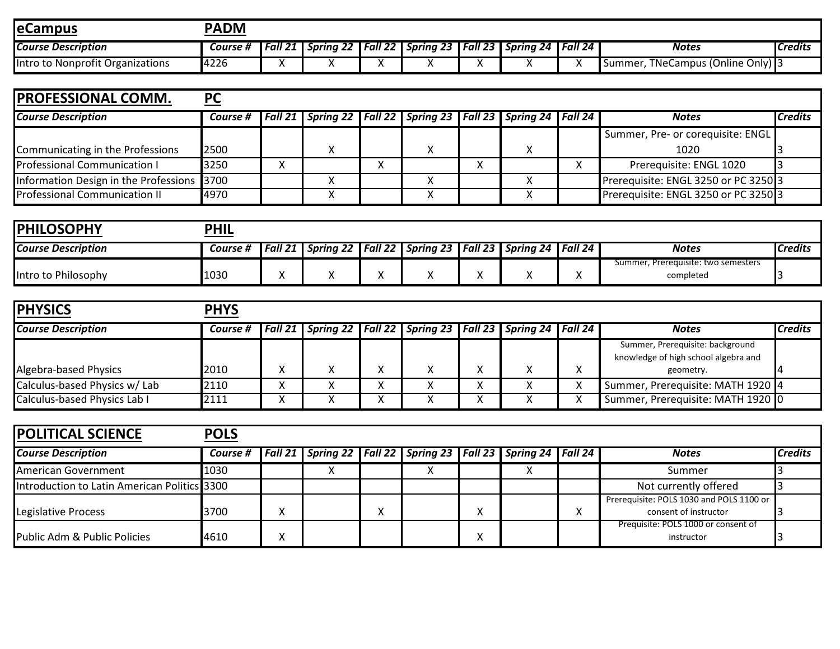| <b>JeCampus</b>                  | <b>PADM</b> |                |                                 |           |                  |           |                  |         |                                     |                |
|----------------------------------|-------------|----------------|---------------------------------|-----------|------------------|-----------|------------------|---------|-------------------------------------|----------------|
| <b>Course Description</b>        | Course #    | <b>Fall 21</b> | <b>つつ I</b><br><b>Spring 22</b> | Fall $22$ | <b>Spring 23</b> | Fall $23$ | <b>Spring 24</b> | Fall 24 | <b>Notes</b>                        | <b>Credits</b> |
| Intro to Nonprofit Organizations | 4226        |                | $\cdots$                        |           |                  | $\cdots$  |                  |         | TNeCampus (Online Only) 3<br>Summer |                |

| <b>IPROFESSIONAL COMM.</b>                 | <b>PC</b> |                                                                           |   |  |  |                                      |                |
|--------------------------------------------|-----------|---------------------------------------------------------------------------|---|--|--|--------------------------------------|----------------|
| <b>Course Description</b>                  | Course #  | Fall 21   Spring 22   Fall 22   Spring 23   Fall 23   Spring 24   Fall 24 |   |  |  | <b>Notes</b>                         | <b>Credits</b> |
|                                            |           |                                                                           |   |  |  | Summer, Pre- or corequisite: ENGL    |                |
| Communicating in the Professions           | 2500      |                                                                           |   |  |  | 1020                                 |                |
| Professional Communication I               | 3250      |                                                                           | v |  |  | Prerequisite: ENGL 1020              |                |
| Information Design in the Professions 3700 |           |                                                                           |   |  |  | Prerequisite: ENGL 3250 or PC 3250 3 |                |
| <b>Professional Communication II</b>       | 4970      |                                                                           |   |  |  | Prerequisite: ENGL 3250 or PC 3250 3 |                |

| <b>IPHILOSOPHY</b>        | <b>PHIL</b> |                                        |                                           |    |  |                                                  |                |
|---------------------------|-------------|----------------------------------------|-------------------------------------------|----|--|--------------------------------------------------|----------------|
| <b>Course Description</b> | Course #    | <b>Fall 21   Spring 22   Fall 22  </b> | Spring 23   Fall 23   Spring 24   Fall 24 |    |  | <b>Notes</b>                                     | <b>Credits</b> |
| Intro to Philosophy       | 1030        |                                        |                                           | ,, |  | Summer, Prereguisite: two semesters<br>completed |                |

| <b>IPHYSICS</b>               | <b>PHYS</b> |                |  |                                                                 |              |                   |                                      |                |
|-------------------------------|-------------|----------------|--|-----------------------------------------------------------------|--------------|-------------------|--------------------------------------|----------------|
| <b>Course Description</b>     | Course #    | <b>Fall 21</b> |  | Spring 22   Fall 22   Spring 23   Fall 23   Spring 24   Fall 24 |              |                   | <b>Notes</b>                         | <b>Credits</b> |
|                               |             |                |  |                                                                 |              |                   | Summer, Prerequisite: background     |                |
|                               |             |                |  |                                                                 |              |                   | knowledge of high school algebra and |                |
| Algebra-based Physics         | 2010        |                |  | Χ                                                               | $\mathbf{v}$ | $\checkmark$<br>∧ | geometry.                            |                |
| Calculus-based Physics w/ Lab | 2110        |                |  | v<br>⌒                                                          | $\lambda$    | v<br>⋏            | Summer, Prerequisite: MATH 1920 4    |                |
| Calculus-based Physics Lab I  | 2111        |                |  |                                                                 |              | v<br>⋏            | Summer, Prerequisite: MATH 1920 0    |                |

| <b>POLITICAL SCIENCE</b><br><b>POLS</b>      |          |              |  |  |                                                                           |  |  |  |                                                                   |                |
|----------------------------------------------|----------|--------------|--|--|---------------------------------------------------------------------------|--|--|--|-------------------------------------------------------------------|----------------|
| <b>Course Description</b>                    | Course # |              |  |  | Fall 21   Spring 22   Fall 22   Spring 23   Fall 23   Spring 24   Fall 24 |  |  |  | <b>Notes</b>                                                      | <b>Credits</b> |
| American Government                          | 1030     |              |  |  |                                                                           |  |  |  | Summer                                                            |                |
| Introduction to Latin American Politics 3300 |          |              |  |  |                                                                           |  |  |  | Not currently offered                                             |                |
| Legislative Process                          | 3700     |              |  |  |                                                                           |  |  |  | Prerequisite: POLS 1030 and POLS 1100 or<br>consent of instructor |                |
| Public Adm & Public Policies                 | 4610     | $\checkmark$ |  |  |                                                                           |  |  |  | Prequisite: POLS 1000 or consent of<br>instructor                 |                |